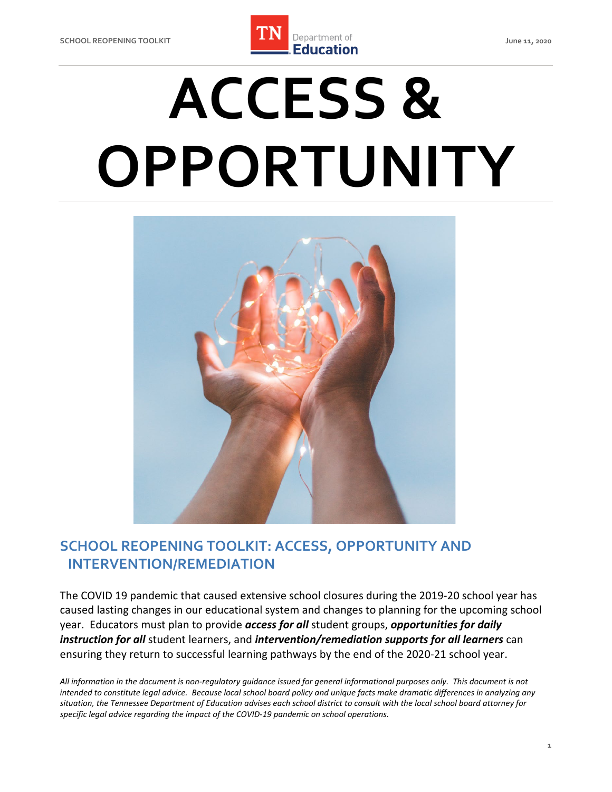

# **ACCESS & OPPORTUNITY**



# **SCHOOL REOPENING TOOLKIT: ACCESS, OPPORTUNITY AND INTERVENTION/REMEDIATION**

 The COVID 19 pandemic that caused extensive school closures during the 2019-20 school year has caused lasting changes in our educational system and changes to planning for the upcoming school year. Educators must plan to provide *access for all* student groups, *opportunities for daily instruction for all* student learners, and *intervention/remediation supports for all learners* can ensuring they return to successful learning pathways by the end of the 2020-21 school year.

 *All information in the document is non-regulatory guidance issued for general informational purposes only. This document is not intended to constitute legal advice. Because local school board policy and unique facts make dramatic differences in analyzing any situation, the Tennessee Department of Education advises each school district to consult with the local school board attorney for specific legal advice regarding the impact of the COVID-19 pandemic on school operations.*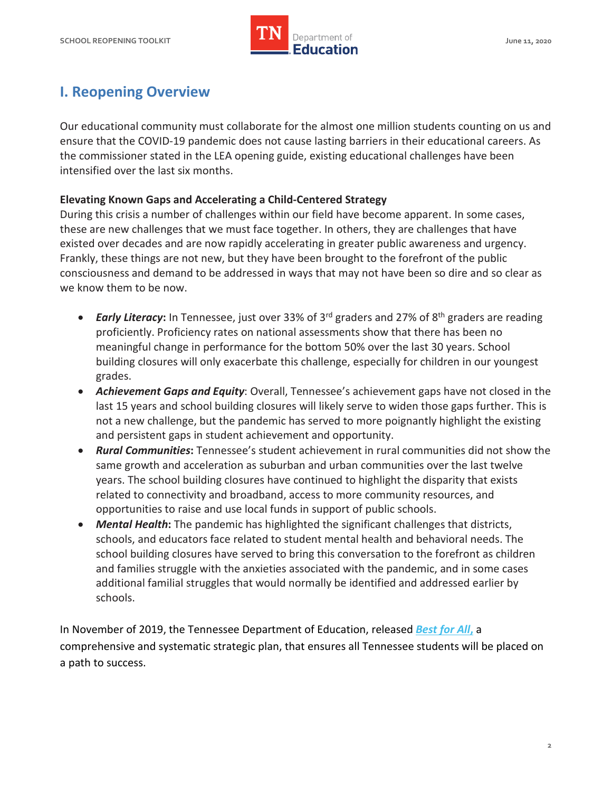

# **I. Reopening Overview**

 Our educational community must collaborate for the almost one million students counting on us and ensure that the COVID-19 pandemic does not cause lasting barriers in their educational careers. As the commissioner stated in the LEA opening guide, existing educational challenges have been intensified over the last six months.

## **Elevating Known Gaps and Accelerating a Child-Centered Strategy**

 these are new challenges that we must face together. In others, they are challenges that have existed over decades and are now rapidly accelerating in greater public awareness and urgency. Frankly, these things are not new, but they have been brought to the forefront of the public consciousness and demand to be addressed in ways that may not have been so dire and so clear as we know them to be now. During this crisis a number of challenges within our field have become apparent. In some cases,

- meaningful change in performance for the bottom 50% over the last 30 years. School grades. • *Early Literacy*: In Tennessee, just over 33% of 3<sup>rd</sup> graders and 27% of 8<sup>th</sup> graders are reading proficiently. Proficiency rates on national assessments show that there has been no building closures will only exacerbate this challenge, especially for children in our youngest
- last 15 years and school building closures will likely serve to widen those gaps further. This is not a new challenge, but the pandemic has served to more poignantly highlight the existing • *Achievement Gaps and Equity*: Overall, Tennessee's achievement gaps have not closed in the and persistent gaps in student achievement and opportunity.
- opportunities to raise and use local funds in support of public schools. • *Rural Communities***:** Tennessee's student achievement in rural communities did not show the same growth and acceleration as suburban and urban communities over the last twelve years. The school building closures have continued to highlight the disparity that exists related to connectivity and broadband, access to more community resources, and
- • *Mental Health***:** The pandemic has highlighted the significant challenges that districts, school building closures have served to bring this conversation to the forefront as children schools, and educators face related to student mental health and behavioral needs. The and families struggle with the anxieties associated with the pandemic, and in some cases additional familial struggles that would normally be identified and addressed earlier by schools.

 In November of 2019, the Tennessee Department of Education, released *[Best for All](https://www.tn.gov/education/about-tdoe/best-for-all-strategic-plan.html)***,** a comprehensive and systematic strategic plan, that ensures all Tennessee students will be placed on a path to success.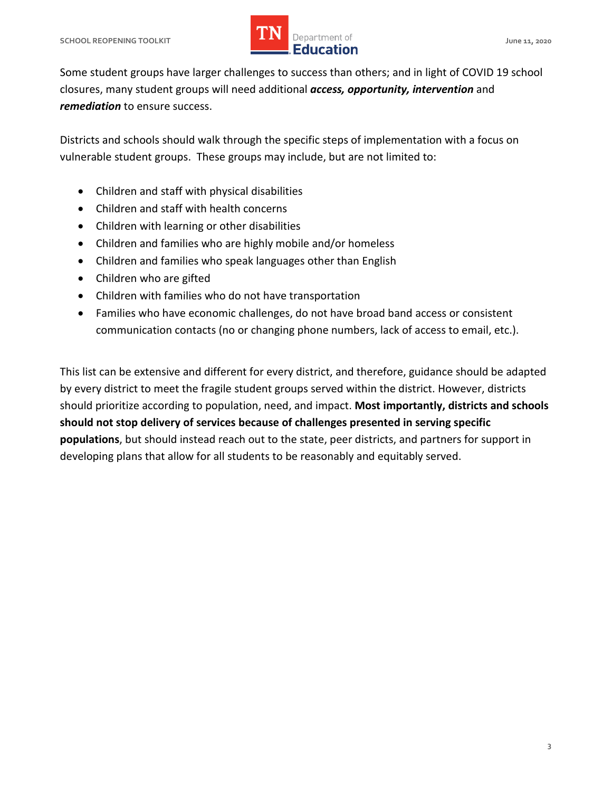

 Some student groups have larger challenges to success than others; and in light of COVID 19 school closures, many student groups will need additional *access, opportunity, intervention* and *remediation* to ensure success.

 Districts and schools should walk through the specific steps of implementation with a focus on vulnerable student groups. These groups may include, but are not limited to:

- Children and staff with physical disabilities
- Children and staff with health concerns
- Children with learning or other disabilities
- Children and families who are highly mobile and/or homeless
- Children and families who speak languages other than English
- Children who are gifted
- Children with families who do not have transportation
- Families who have economic challenges, do not have broad band access or consistent communication contacts (no or changing phone numbers, lack of access to email, etc.).

 This list can be extensive and different for every district, and therefore, guidance should be adapted by every district to meet the fragile student groups served within the district. However, districts should prioritize according to population, need, and impact. **Most importantly, districts and schools should not stop delivery of services because of challenges presented in serving specific populations**, but should instead reach out to the state, peer districts, and partners for support in developing plans that allow for all students to be reasonably and equitably served.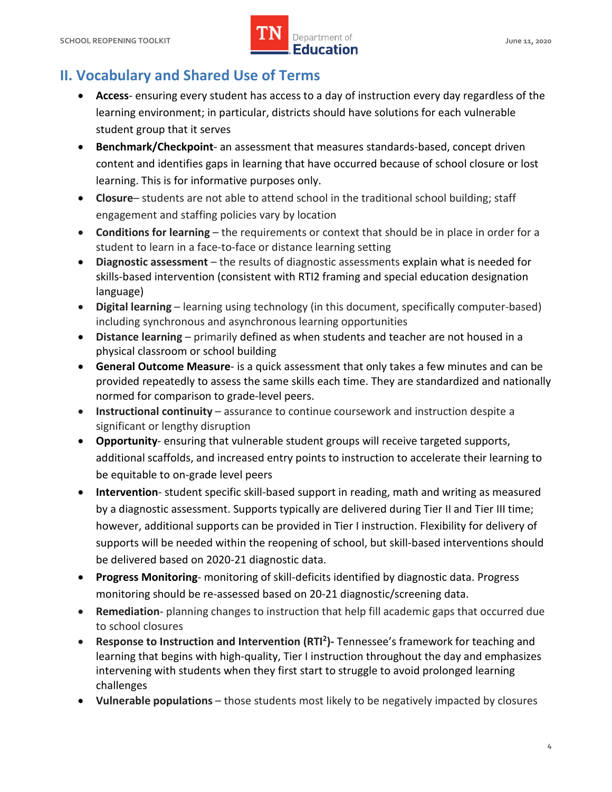

# **II. Vocabulary and Shared Use of Terms**

- • **Access** ensuring every student has access to a day of instruction every day regardless of the learning environment; in particular, districts should have solutions for each vulnerable student group that it serves
- content and identifies gaps in learning that have occurred because of school closure or lost learning. This is for informative purposes only. • **Benchmark/Checkpoint**- an assessment that measures standards-based, concept driven
- **Closure** students are not able to attend school in the traditional school building; staff engagement and staffing policies vary by location
- • **Conditions for learning**  the requirements or context that should be in place in order for a student to learn in a face-to-face or distance learning setting
- • **Diagnostic assessment**  the results of diagnostic assessments explain what is needed for skills-based intervention (consistent with RTI2 framing and special education designation language)
- • **Digital learning**  learning using technology (in this document, specifically computer-based) including synchronous and asynchronous learning opportunities
- • **Distance learning**  primarily defined as when students and teacher are not housed in a physical classroom or school building
- **General Outcome Measure** is a quick assessment that only takes a few minutes and can be provided repeatedly to assess the same skills each time. They are standardized and nationally normed for comparison to grade-level peers.
- • **Instructional continuity**  assurance to continue coursework and instruction despite a significant or lengthy disruption
- additional scaffolds, and increased entry points to instruction to accelerate their learning to • **Opportunity**- ensuring that vulnerable student groups will receive targeted supports, be equitable to on-grade level peers
- by a diagnostic assessment. Supports typically are delivered during Tier II and Tier III time; however, additional supports can be provided in Tier I instruction. Flexibility for delivery of be delivered based on 2020-21 diagnostic data. • **Intervention**- student specific skill-based support in reading, math and writing as measured supports will be needed within the reopening of school, but skill-based interventions should
- **Progress Monitoring** monitoring of skill-deficits identified by diagnostic data. Progress monitoring should be re-assessed based on 20-21 diagnostic/screening data.
- **Remediation** planning changes to instruction that help fill academic gaps that occurred due to school closures
- • **Response to Instruction and Intervention (RTI2)-** Tennessee's framework for teaching and learning that begins with high-quality, Tier I instruction throughout the day and emphasizes intervening with students when they first start to struggle to avoid prolonged learning challenges
- Vulnerable populations those students most likely to be negatively impacted by closures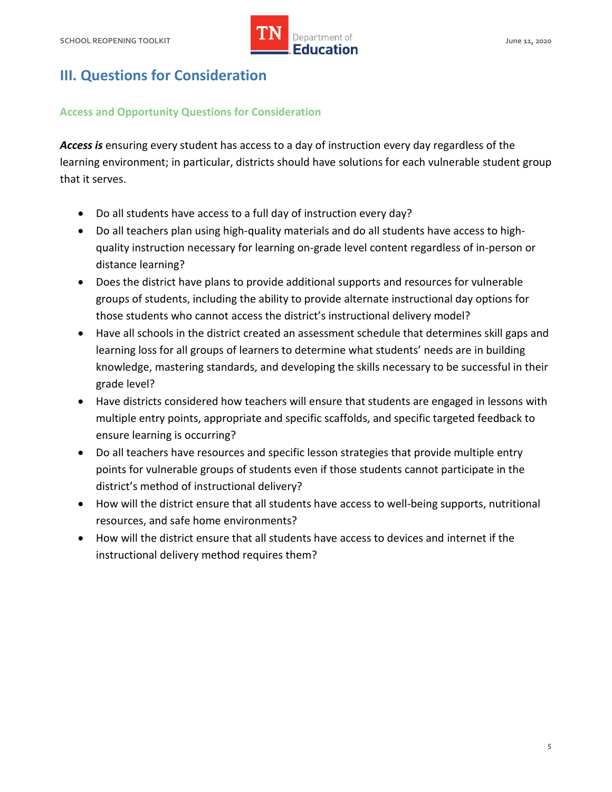

# **III. Questions for Consideration**

## **Access and Opportunity Questions for Consideration**

 *Access is* ensuring every student has access to a day of instruction every day regardless of the learning environment; in particular, districts should have solutions for each vulnerable student group that it serves.

- Do all students have access to a full day of instruction every day?
- • Do all teachers plan using high-quality materials and do all students have access to highquality instruction necessary for learning on-grade level content regardless of in-person or distance learning?
- groups of students, including the ability to provide alternate instructional day options for • Does the district have plans to provide additional supports and resources for vulnerable those students who cannot access the district's instructional delivery model?
- • Have all schools in the district created an assessment schedule that determines skill gaps and knowledge, mastering standards, and developing the skills necessary to be successful in their learning loss for all groups of learners to determine what students' needs are in building grade level?
- Have districts considered how teachers will ensure that students are engaged in lessons with multiple entry points, appropriate and specific scaffolds, and specific targeted feedback to ensure learning is occurring?
- • Do all teachers have resources and specific lesson strategies that provide multiple entry points for vulnerable groups of students even if those students cannot participate in the district's method of instructional delivery?
- How will the district ensure that all students have access to well-being supports, nutritional resources, and safe home environments?
- How will the district ensure that all students have access to devices and internet if the instructional delivery method requires them?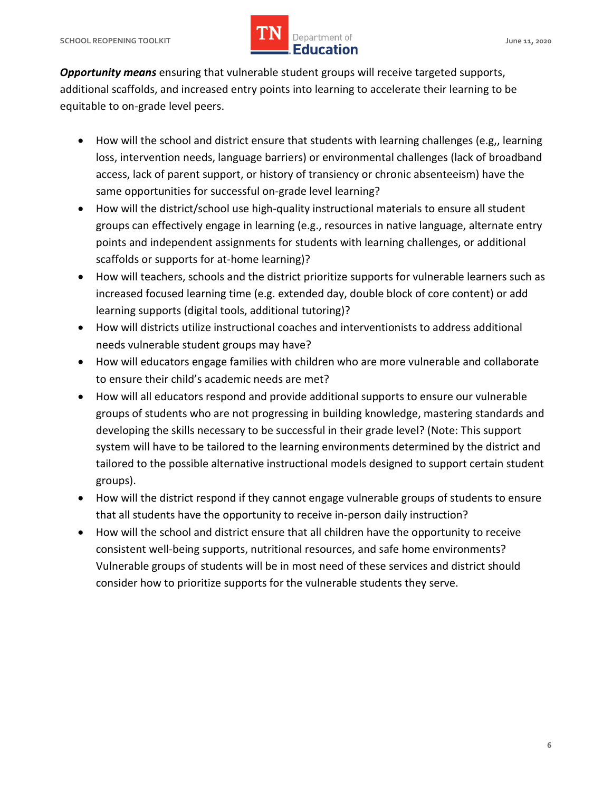## **SCHOOL REOPENING TOOLKIT SCHOOL ASSESSED ASSESSED AT A PROPERTY OF A SERVICE OF A SERVICE OF A SCHOOL AND A June 11, 2020** *LIN* Department of **IMPLE Department of**

 *Opportunity means* ensuring that vulnerable student groups will receive targeted supports, additional scaffolds, and increased entry points into learning to accelerate their learning to be equitable to on-grade level peers.

- access, lack of parent support, or history of transiency or chronic absenteeism) have the • How will the school and district ensure that students with learning challenges (e.g,, learning loss, intervention needs, language barriers) or environmental challenges (lack of broadband same opportunities for successful on-grade level learning?
- groups can effectively engage in learning (e.g., resources in native language, alternate entry • How will the district/school use high-quality instructional materials to ensure all student points and independent assignments for students with learning challenges, or additional scaffolds or supports for at-home learning)?
- How will teachers, schools and the district prioritize supports for vulnerable learners such as increased focused learning time (e.g. extended day, double block of core content) or add learning supports (digital tools, additional tutoring)?
- • How will districts utilize instructional coaches and interventionists to address additional needs vulnerable student groups may have?
- • How will educators engage families with children who are more vulnerable and collaborate to ensure their child's academic needs are met?
- system will have to be tailored to the learning environments determined by the district and tailored to the possible alternative instructional models designed to support certain student • How will all educators respond and provide additional supports to ensure our vulnerable groups of students who are not progressing in building knowledge, mastering standards and developing the skills necessary to be successful in their grade level? (Note: This support groups).
- • How will the district respond if they cannot engage vulnerable groups of students to ensure that all students have the opportunity to receive in-person daily instruction?
- • How will the school and district ensure that all children have the opportunity to receive consider how to prioritize supports for the vulnerable students they serve. consistent well-being supports, nutritional resources, and safe home environments? Vulnerable groups of students will be in most need of these services and district should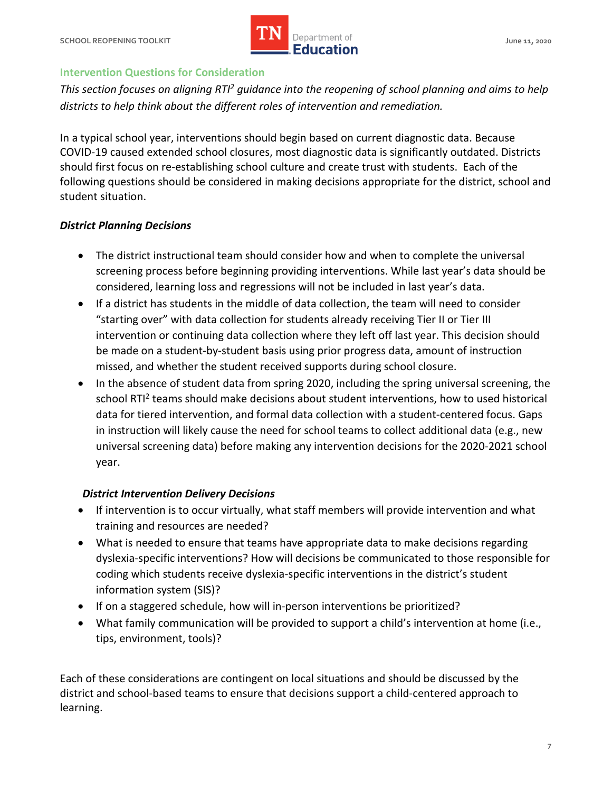

#### **Intervention Questions for Consideration**

 *This section focuses on aligning RTI2 guidance into the reopening of school planning and aims to help districts to help think about the different roles of intervention and remediation.* 

 In a typical school year, interventions should begin based on current diagnostic data. Because COVID-19 caused extended school closures, most diagnostic data is significantly outdated. Districts should first focus on re-establishing school culture and create trust with students. Each of the following questions should be considered in making decisions appropriate for the district, school and student situation.

#### *District Planning Decisions*

- The district instructional team should consider how and when to complete the universal screening process before beginning providing interventions. While last year's data should be considered, learning loss and regressions will not be included in last year's data.
- be made on a student-by-student basis using prior progress data, amount of instruction • If a district has students in the middle of data collection, the team will need to consider "starting over" with data collection for students already receiving Tier II or Tier III intervention or continuing data collection where they left off last year. This decision should missed, and whether the student received supports during school closure.
- • In the absence of student data from spring 2020, including the spring universal screening, the data for tiered intervention, and formal data collection with a student-centered focus. Gaps in instruction will likely cause the need for school teams to collect additional data (e.g., new school RTI<sup>2</sup> teams should make decisions about student interventions, how to used historical universal screening data) before making any intervention decisions for the 2020-2021 school year.

#### *District Intervention Delivery Decisions*

- If intervention is to occur virtually, what staff members will provide intervention and what training and resources are needed?
- dyslexia-specific interventions? How will decisions be communicated to those responsible for • What is needed to ensure that teams have appropriate data to make decisions regarding coding which students receive dyslexia-specific interventions in the district's student information system (SIS)?
- If on a staggered schedule, how will in-person interventions be prioritized?
- What family communication will be provided to support a child's intervention at home (i.e., tips, environment, tools)?

 Each of these considerations are contingent on local situations and should be discussed by the district and school-based teams to ensure that decisions support a child-centered approach to learning.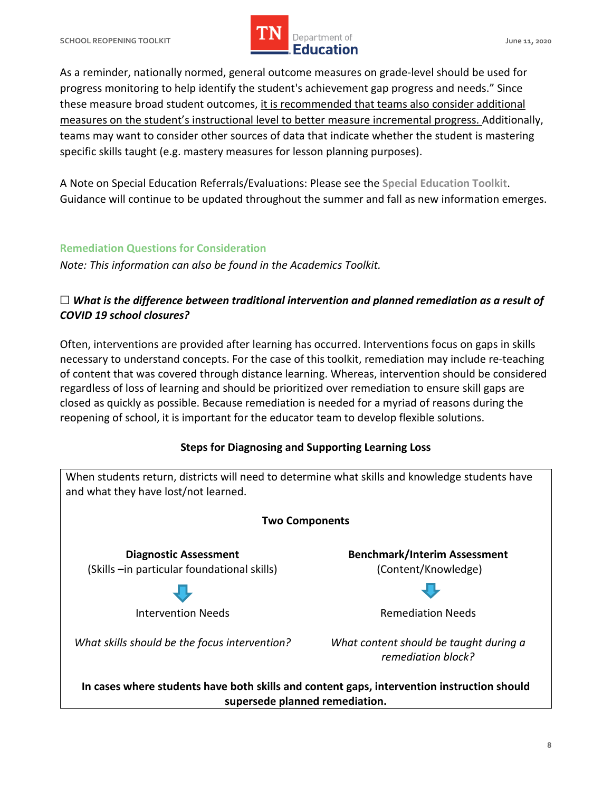

 As a reminder, nationally normed, general outcome measures on grade-level should be used for progress monitoring to help identify the student's achievement gap progress and needs." Since these measure broad student outcomes, it is recommended that teams also consider additional measures on the student's instructional level to better measure incremental progress. Additionally, teams may want to consider other sources of data that indicate whether the student is mastering specific skills taught (e.g. mastery measures for lesson planning purposes).

 A Note on Special Education Referrals/Evaluations: Please see the **Special Education Toolkit**. Guidance will continue to be updated throughout the summer and fall as new information emerges.

## **Remediation Questions for Consideration**

 *Note: This information can also be found in the Academics Toolkit.* 

## $\Box$  What is the difference between traditional intervention and planned remediation as a result of  *COVID 19 school closures?*

 Often, interventions are provided after learning has occurred. Interventions focus on gaps in skills necessary to understand concepts. For the case of this toolkit, remediation may include re-teaching of content that was covered through distance learning. Whereas, intervention should be considered regardless of loss of learning and should be prioritized over remediation to ensure skill gaps are closed as quickly as possible. Because remediation is needed for a myriad of reasons during the reopening of school, it is important for the educator team to develop flexible solutions.

## **Steps for Diagnosing and Supporting Learning Loss**

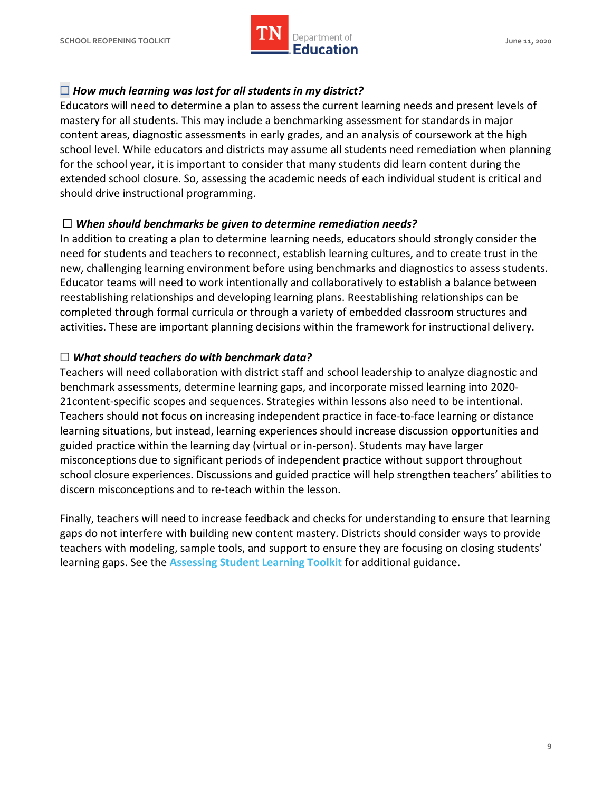

## ☐ *How much learning was lost for all students in my district?*

 Educators will need to determine a plan to assess the current learning needs and present levels of mastery for all students. This may include a benchmarking assessment for standards in major content areas, diagnostic assessments in early grades, and an analysis of coursework at the high school level. While educators and districts may assume all students need remediation when planning for the school year, it is important to consider that many students did learn content during the extended school closure. So, assessing the academic needs of each individual student is critical and should drive instructional programming.

## ☐ *When should benchmarks be given to determine remediation needs?*

 In addition to creating a plan to determine learning needs, educators should strongly consider the need for students and teachers to reconnect, establish learning cultures, and to create trust in the new, challenging learning environment before using benchmarks and diagnostics to assess students. Educator teams will need to work intentionally and collaboratively to establish a balance between reestablishing relationships and developing learning plans. Reestablishing relationships can be completed through formal curricula or through a variety of embedded classroom structures and activities. These are important planning decisions within the framework for instructional delivery.

## ☐ *What should teachers do with benchmark data?*

 Teachers will need collaboration with district staff and school leadership to analyze diagnostic and benchmark assessments, determine learning gaps, and incorporate missed learning into 2020- 21content-specific scopes and sequences. Strategies within lessons also need to be intentional. Teachers should not focus on increasing independent practice in face-to-face learning or distance learning situations, but instead, learning experiences should increase discussion opportunities and guided practice within the learning day (virtual or in-person). Students may have larger misconceptions due to significant periods of independent practice without support throughout school closure experiences. Discussions and guided practice will help strengthen teachers' abilities to discern misconceptions and to re-teach within the lesson.

 Finally, teachers will need to increase feedback and checks for understanding to ensure that learning gaps do not interfere with building new content mastery. Districts should consider ways to provide teachers with modeling, sample tools, and support to ensure they are focusing on closing students' learning gaps. See the **Assessing Student Learning Toolkit** for additional guidance.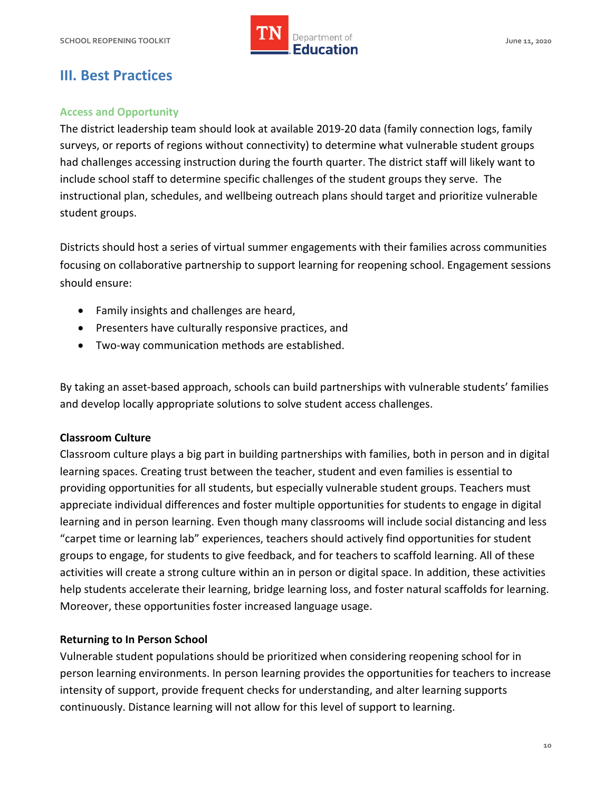

## **III. Best Practices**

## **Access and Opportunity**

 The district leadership team should look at available 2019-20 data (family connection logs, family surveys, or reports of regions without connectivity) to determine what vulnerable student groups had challenges accessing instruction during the fourth quarter. The district staff will likely want to include school staff to determine specific challenges of the student groups they serve. The instructional plan, schedules, and wellbeing outreach plans should target and prioritize vulnerable student groups.

 Districts should host a series of virtual summer engagements with their families across communities focusing on collaborative partnership to support learning for reopening school. Engagement sessions should ensure:

- Family insights and challenges are heard,
- Presenters have culturally responsive practices, and
- Two-way communication methods are established.

 By taking an asset-based approach, schools can build partnerships with vulnerable students' families and develop locally appropriate solutions to solve student access challenges.

### **Classroom Culture**

 Classroom culture plays a big part in building partnerships with families, both in person and in digital learning spaces. Creating trust between the teacher, student and even families is essential to providing opportunities for all students, but especially vulnerable student groups. Teachers must appreciate individual differences and foster multiple opportunities for students to engage in digital learning and in person learning. Even though many classrooms will include social distancing and less "carpet time or learning lab" experiences, teachers should actively find opportunities for student groups to engage, for students to give feedback, and for teachers to scaffold learning. All of these activities will create a strong culture within an in person or digital space. In addition, these activities help students accelerate their learning, bridge learning loss, and foster natural scaffolds for learning. Moreover, these opportunities foster increased language usage.

#### **Returning to In Person School**

 Vulnerable student populations should be prioritized when considering reopening school for in person learning environments. In person learning provides the opportunities for teachers to increase intensity of support, provide frequent checks for understanding, and alter learning supports continuously. Distance learning will not allow for this level of support to learning.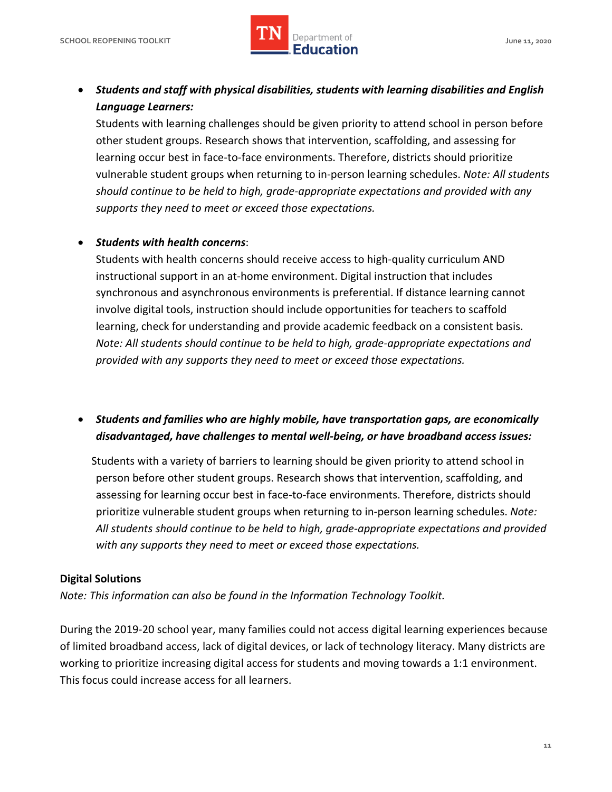

## • *Students and staff with physical disabilities, students with learning disabilities and English Language Learners:*

Students with learning challenges should be given priority to attend school in person before other student groups. Research shows that intervention, scaffolding, and assessing for learning occur best in face-to-face environments. Therefore, districts should prioritize vulnerable student groups when returning to in-person learning schedules. *Note: All students should continue to be held to high, grade-appropriate expectations and provided with any supports they need to meet or exceed those expectations.* 

## • *Students with health concerns*:

 involve digital tools, instruction should include opportunities for teachers to scaffold Students with health concerns should receive access to high-quality curriculum AND instructional support in an at-home environment. Digital instruction that includes synchronous and asynchronous environments is preferential. If distance learning cannot learning, check for understanding and provide academic feedback on a consistent basis. *Note: All students should continue to be held to high, grade-appropriate expectations and provided with any supports they need to meet or exceed those expectations.* 

## *disadvantaged, have challenges to mental well-being, or have broadband access issues:*  • *Students and families who are highly mobile, have transportation gaps, are economically*

 Students with a variety of barriers to learning should be given priority to attend school in person before other student groups. Research shows that intervention, scaffolding, and assessing for learning occur best in face-to-face environments. Therefore, districts should prioritize vulnerable student groups when returning to in-person learning schedules. *Note: All students should continue to be held to high, grade-appropriate expectations and provided with any supports they need to meet or exceed those expectations.* 

## **Digital Solutions**

 *Note: This information can also be found in the Information Technology Toolkit.* 

 During the 2019-20 school year, many families could not access digital learning experiences because of limited broadband access, lack of digital devices, or lack of technology literacy. Many districts are working to prioritize increasing digital access for students and moving towards a 1:1 environment. This focus could increase access for all learners.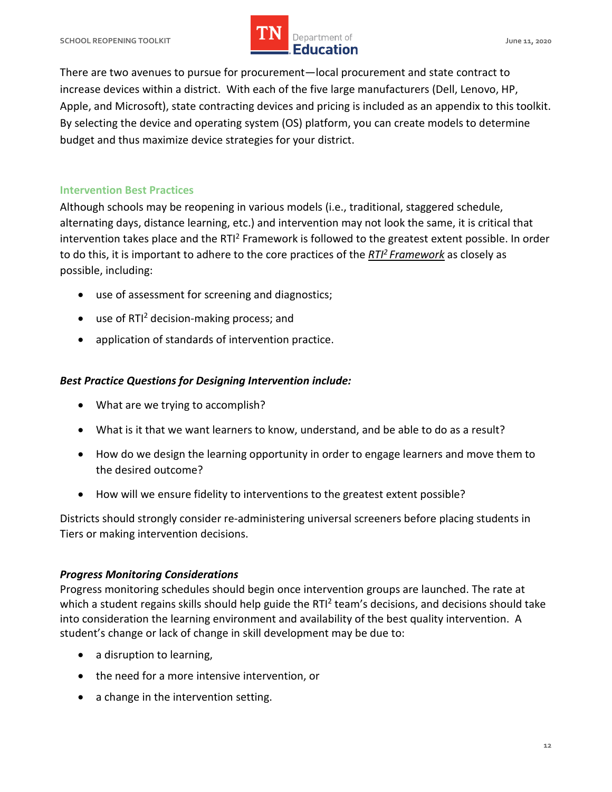## **SCHOOL REOPENING TOOLKIT SCHOOL ASSESSED ASSESSED AT A PROPERTY OF A SERVICE OF A SERVICE OF A SCHOOL AND A June 11, 2020** *LIN* Department of **IMPLE Department of**

 There are two avenues to pursue for procurement—local procurement and state contract to increase devices within a district. With each of the five large manufacturers (Dell, Lenovo, HP, Apple, and Microsoft), state contracting devices and pricing is included as an appendix to this toolkit. By selecting the device and operating system (OS) platform, you can create models to determine budget and thus maximize device strategies for your district.

## **Intervention Best Practices**

 Although schools may be reopening in various models (i.e., traditional, staggered schedule, alternating days, distance learning, etc.) and intervention may not look the same, it is critical that intervention takes place and the RTI<sup>2</sup> Framework is followed to the greatest extent possible. In order to do this, it is important to adhere to the core practices of the *[RTI2 Framework](https://www.tn.gov/content/dam/tn/education/special-education/rti/rti2_manual.pdf)* as closely as possible, including:

- use of assessment for screening and diagnostics;
- use of  $RTI<sup>2</sup>$  decision-making process; and
- application of standards of intervention practice.

## *Best Practice Questions for Designing Intervention include:*

- What are we trying to accomplish?
- What is it that we want learners to know, understand, and be able to do as a result?
- • How do we design the learning opportunity in order to engage learners and move them to the desired outcome?
- How will we ensure fidelity to interventions to the greatest extent possible?

 Districts should strongly consider re-administering universal screeners before placing students in Tiers or making intervention decisions.

## *Progress Monitoring Considerations*

 Progress monitoring schedules should begin once intervention groups are launched. The rate at which a student regains skills should help guide the RTI<sup>2</sup> team's decisions, and decisions should take into consideration the learning environment and availability of the best quality intervention. A student's change or lack of change in skill development may be due to:

- a disruption to learning,
- the need for a more intensive intervention, or
- a change in the intervention setting.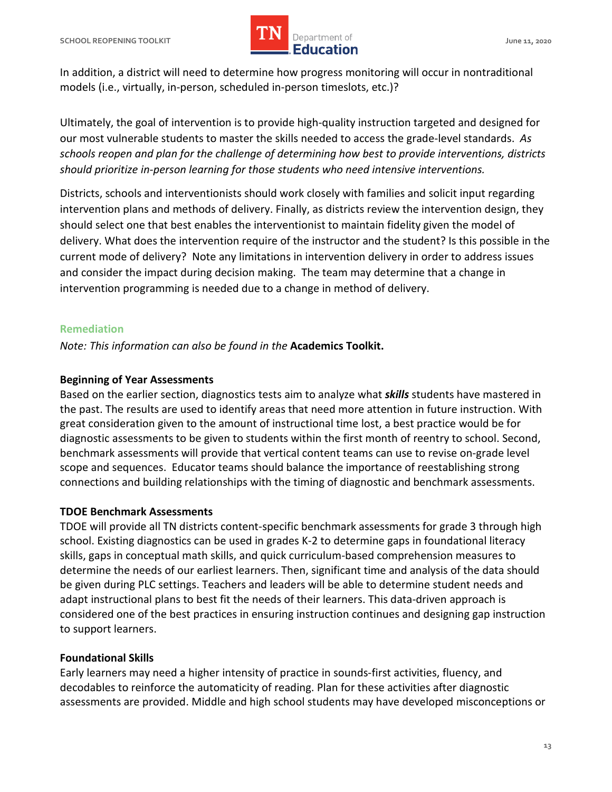

 In addition, a district will need to determine how progress monitoring will occur in nontraditional models (i.e., virtually, in-person, scheduled in-person timeslots, etc.)?

 Ultimately, the goal of intervention is to provide high-quality instruction targeted and designed for our most vulnerable students to master the skills needed to access the grade-level standards. *As schools reopen and plan for the challenge of determining how best to provide interventions, districts should prioritize in-person learning for those students who need intensive interventions.* 

 Districts, schools and interventionists should work closely with families and solicit input regarding intervention plans and methods of delivery. Finally, as districts review the intervention design, they should select one that best enables the interventionist to maintain fidelity given the model of delivery. What does the intervention require of the instructor and the student? Is this possible in the current mode of delivery? Note any limitations in intervention delivery in order to address issues and consider the impact during decision making. The team may determine that a change in intervention programming is needed due to a change in method of delivery.

#### **Remediation**

 *Note: This information can also be found in the* **Academics Toolkit.** 

#### **Beginning of Year Assessments**

 Based on the earlier section, diagnostics tests aim to analyze what *skills* students have mastered in the past. The results are used to identify areas that need more attention in future instruction. With great consideration given to the amount of instructional time lost, a best practice would be for diagnostic assessments to be given to students within the first month of reentry to school. Second, benchmark assessments will provide that vertical content teams can use to revise on-grade level scope and sequences. Educator teams should balance the importance of reestablishing strong connections and building relationships with the timing of diagnostic and benchmark assessments.

## **TDOE Benchmark Assessments**

 TDOE will provide all TN districts content-specific benchmark assessments for grade 3 through high school. Existing diagnostics can be used in grades K-2 to determine gaps in foundational literacy skills, gaps in conceptual math skills, and quick curriculum-based comprehension measures to determine the needs of our earliest learners. Then, significant time and analysis of the data should be given during PLC settings. Teachers and leaders will be able to determine student needs and adapt instructional plans to best fit the needs of their learners. This data-driven approach is considered one of the best practices in ensuring instruction continues and designing gap instruction to support learners.

### **Foundational Skills**

 Early learners may need a higher intensity of practice in sounds-first activities, fluency, and decodables to reinforce the automaticity of reading. Plan for these activities after diagnostic assessments are provided. Middle and high school students may have developed misconceptions or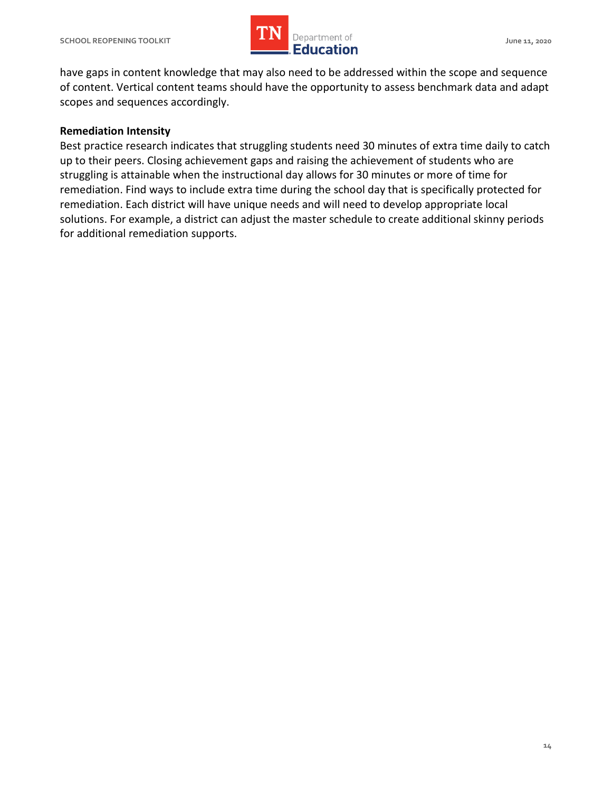

 have gaps in content knowledge that may also need to be addressed within the scope and sequence of content. Vertical content teams should have the opportunity to assess benchmark data and adapt scopes and sequences accordingly.

## **Remediation Intensity**

 Best practice research indicates that struggling students need 30 minutes of extra time daily to catch up to their peers. Closing achievement gaps and raising the achievement of students who are struggling is attainable when the instructional day allows for 30 minutes or more of time for remediation. Find ways to include extra time during the school day that is specifically protected for remediation. Each district will have unique needs and will need to develop appropriate local solutions. For example, a district can adjust the master schedule to create additional skinny periods for additional remediation supports.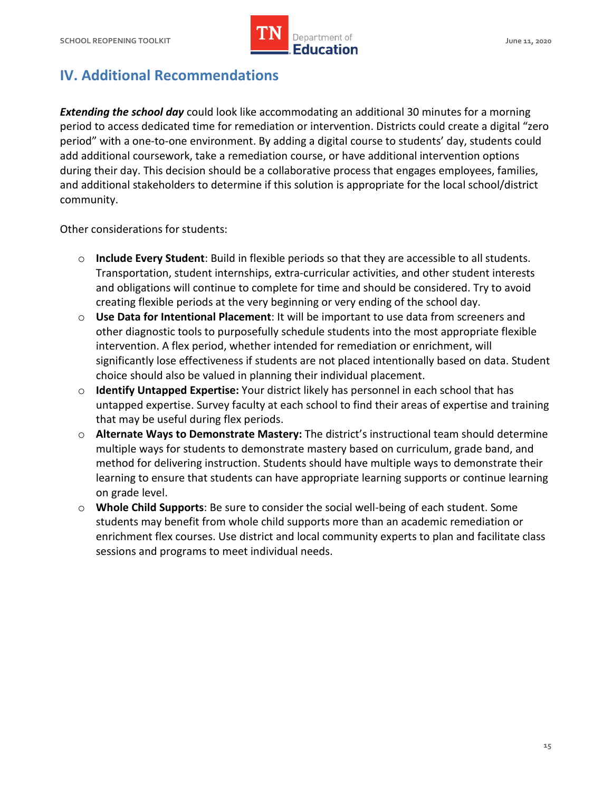

# **IV. Additional Recommendations**

**Extending the school day** could look like accommodating an additional 30 minutes for a morning period to access dedicated time for remediation or intervention. Districts could create a digital "zero period" with a one-to-one environment. By adding a digital course to students' day, students could add additional coursework, take a remediation course, or have additional intervention options during their day. This decision should be a collaborative process that engages employees, families, and additional stakeholders to determine if this solution is appropriate for the local school/district community.

community.<br>Other considerations for students:

- creating flexible periods at the very beginning or very ending of the school day. o **Include Every Student**: Build in flexible periods so that they are accessible to all students. Transportation, student internships, extra-curricular activities, and other student interests and obligations will continue to complete for time and should be considered. Try to avoid
- o **Use Data for Intentional Placement**: It will be important to use data from screeners and other diagnostic tools to purposefully schedule students into the most appropriate flexible choice should also be valued in planning their individual placement. intervention. A flex period, whether intended for remediation or enrichment, will significantly lose effectiveness if students are not placed intentionally based on data. Student
- untapped expertise. Survey faculty at each school to find their areas of expertise and training o **Identify Untapped Expertise:** Your district likely has personnel in each school that has that may be useful during flex periods.
- multiple ways for students to demonstrate mastery based on curriculum, grade band, and method for delivering instruction. Students should have multiple ways to demonstrate their on grade level. o **Alternate Ways to Demonstrate Mastery:** The district's instructional team should determine learning to ensure that students can have appropriate learning supports or continue learning
- students may benefit from whole child supports more than an academic remediation or enrichment flex courses. Use district and local community experts to plan and facilitate class o **Whole Child Supports**: Be sure to consider the social well-being of each student. Some sessions and programs to meet individual needs.